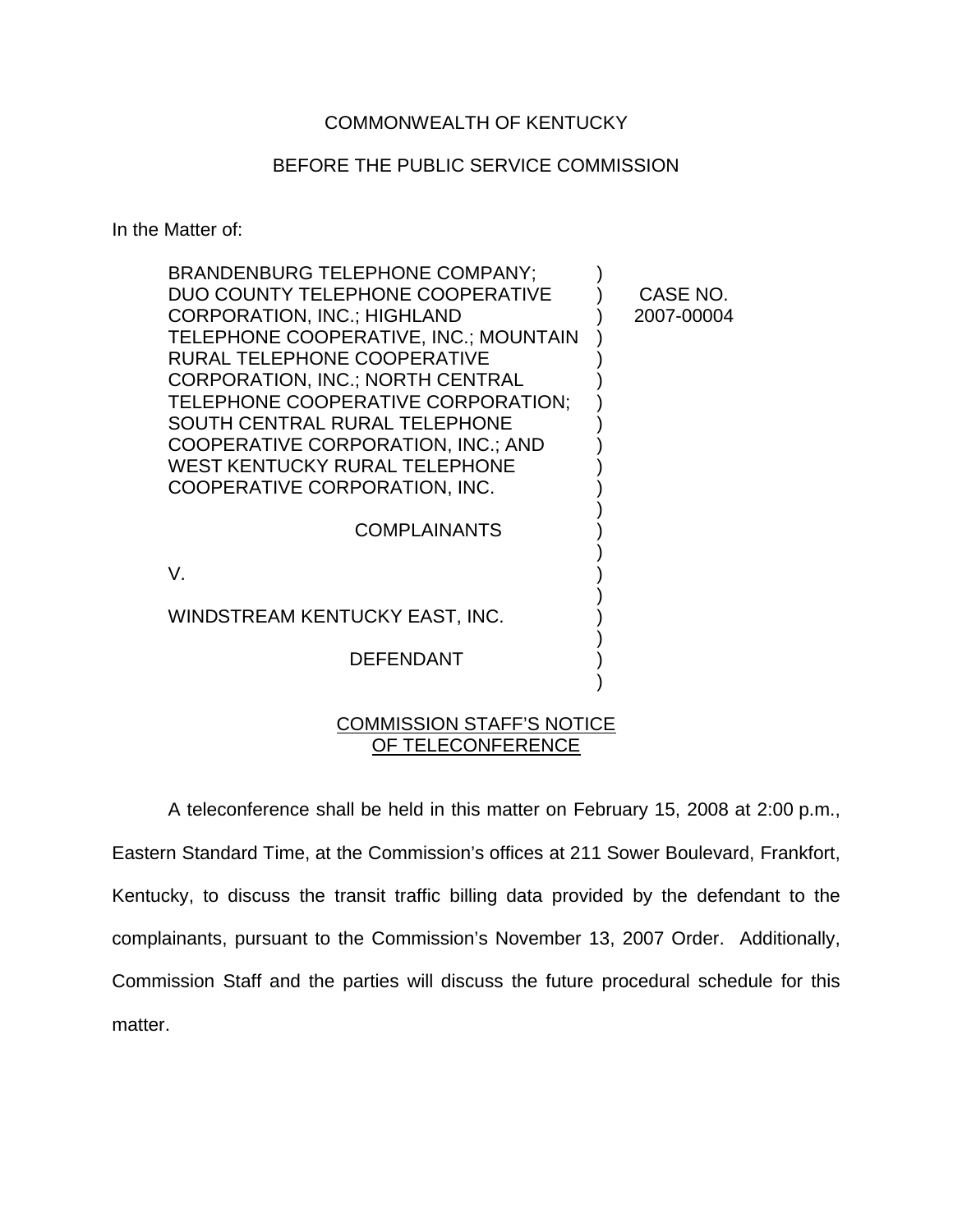## COMMONWEALTH OF KENTUCKY

## BEFORE THE PUBLIC SERVICE COMMISSION

In the Matter of:

| <b>BRANDENBURG TELEPHONE COMPANY;</b>     |            |
|-------------------------------------------|------------|
| DUO COUNTY TELEPHONE COOPERATIVE          | CASE NO.   |
| <b>CORPORATION, INC.; HIGHLAND</b>        | 2007-00004 |
| TELEPHONE COOPERATIVE, INC.; MOUNTAIN     |            |
| RURAL TELEPHONE COOPERATIVE               |            |
| <b>CORPORATION, INC.; NORTH CENTRAL</b>   |            |
| TELEPHONE COOPERATIVE CORPORATION;        |            |
| SOUTH CENTRAL RURAL TELEPHONE             |            |
| <b>COOPERATIVE CORPORATION, INC.; AND</b> |            |
| WEST KENTUCKY RURAL TELEPHONE             |            |
| COOPERATIVE CORPORATION, INC.             |            |
|                                           |            |
| <b>COMPLAINANTS</b>                       |            |
| V.                                        |            |
|                                           |            |
| WINDSTREAM KENTUCKY EAST, INC.            |            |
|                                           |            |
| <b>DEFENDANT</b>                          |            |
|                                           |            |
|                                           |            |

## COMMISSION STAFF'S NOTICE OF TELECONFERENCE

A teleconference shall be held in this matter on February 15, 2008 at 2:00 p.m., Eastern Standard Time, at the Commission's offices at 211 Sower Boulevard, Frankfort, Kentucky, to discuss the transit traffic billing data provided by the defendant to the complainants, pursuant to the Commission's November 13, 2007 Order. Additionally, Commission Staff and the parties will discuss the future procedural schedule for this matter.